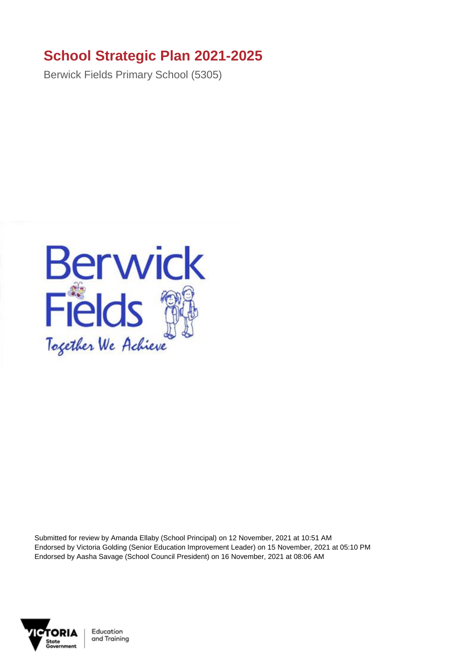## **School Strategic Plan 2021-2025**

Berwick Fields Primary School (5305)



Submitted for review by Amanda Ellaby (School Principal) on 12 November, 2021 at 10:51 AM Endorsed by Victoria Golding (Senior Education Improvement Leader) on 15 November, 2021 at 05:10 PM Endorsed by Aasha Savage (School Council President) on 16 November, 2021 at 08:06 AM

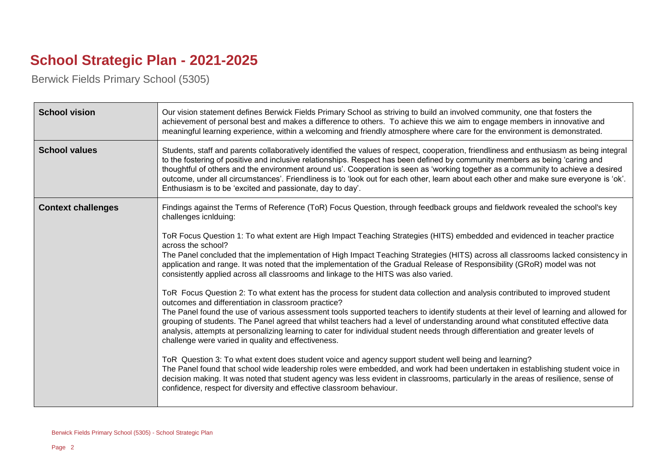## **School Strategic Plan - 2021-2025**

Berwick Fields Primary School (5305)

| <b>School vision</b>      | Our vision statement defines Berwick Fields Primary School as striving to build an involved community, one that fosters the<br>achievement of personal best and makes a difference to others. To achieve this we aim to engage members in innovative and<br>meaningful learning experience, within a welcoming and friendly atmosphere where care for the environment is demonstrated.                                                                                                                                                                                                                                                                                                                                                                                                                                                                                                                                                                                                                                                                                                                                                                                                                                                                                                                                                                                                                                                                                                                                                                                                                                                                                                                                                                                                        |
|---------------------------|-----------------------------------------------------------------------------------------------------------------------------------------------------------------------------------------------------------------------------------------------------------------------------------------------------------------------------------------------------------------------------------------------------------------------------------------------------------------------------------------------------------------------------------------------------------------------------------------------------------------------------------------------------------------------------------------------------------------------------------------------------------------------------------------------------------------------------------------------------------------------------------------------------------------------------------------------------------------------------------------------------------------------------------------------------------------------------------------------------------------------------------------------------------------------------------------------------------------------------------------------------------------------------------------------------------------------------------------------------------------------------------------------------------------------------------------------------------------------------------------------------------------------------------------------------------------------------------------------------------------------------------------------------------------------------------------------------------------------------------------------------------------------------------------------|
| <b>School values</b>      | Students, staff and parents collaboratively identified the values of respect, cooperation, friendliness and enthusiasm as being integral<br>to the fostering of positive and inclusive relationships. Respect has been defined by community members as being 'caring and<br>thoughtful of others and the environment around us'. Cooperation is seen as 'working together as a community to achieve a desired<br>outcome, under all circumstances'. Friendliness is to 'look out for each other, learn about each other and make sure everyone is 'ok'.<br>Enthusiasm is to be 'excited and passionate, day to day'.                                                                                                                                                                                                                                                                                                                                                                                                                                                                                                                                                                                                                                                                                                                                                                                                                                                                                                                                                                                                                                                                                                                                                                          |
| <b>Context challenges</b> | Findings against the Terms of Reference (ToR) Focus Question, through feedback groups and fieldwork revealed the school's key<br>challenges icnlduing:<br>ToR Focus Question 1: To what extent are High Impact Teaching Strategies (HITS) embedded and evidenced in teacher practice<br>across the school?<br>The Panel concluded that the implementation of High Impact Teaching Strategies (HITS) across all classrooms lacked consistency in<br>application and range. It was noted that the implementation of the Gradual Release of Responsibility (GRoR) model was not<br>consistently applied across all classrooms and linkage to the HITS was also varied.<br>ToR Focus Question 2: To what extent has the process for student data collection and analysis contributed to improved student<br>outcomes and differentiation in classroom practice?<br>The Panel found the use of various assessment tools supported teachers to identify students at their level of learning and allowed for<br>grouping of students. The Panel agreed that whilst teachers had a level of understanding around what constituted effective data<br>analysis, attempts at personalizing learning to cater for individual student needs through differentiation and greater levels of<br>challenge were varied in quality and effectiveness.<br>ToR Question 3: To what extent does student voice and agency support student well being and learning?<br>The Panel found that school wide leadership roles were embedded, and work had been undertaken in establishing student voice in<br>decision making. It was noted that student agency was less evident in classrooms, particularly in the areas of resilience, sense of<br>confidence, respect for diversity and effective classroom behaviour. |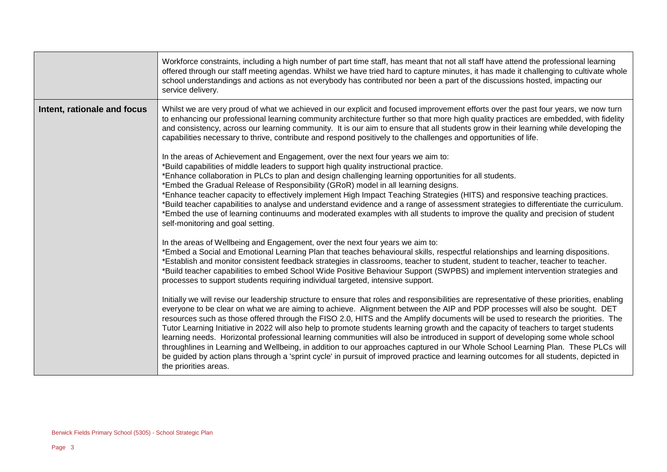|                             | Workforce constraints, including a high number of part time staff, has meant that not all staff have attend the professional learning<br>offered through our staff meeting agendas. Whilst we have tried hard to capture minutes, it has made it challenging to cultivate whole<br>school understandings and actions as not everybody has contributed nor been a part of the discussions hosted, impacting our<br>service delivery.                                                                                                                                                                                                                                                                                                                                                                                                                                                                                                                                                                 |
|-----------------------------|-----------------------------------------------------------------------------------------------------------------------------------------------------------------------------------------------------------------------------------------------------------------------------------------------------------------------------------------------------------------------------------------------------------------------------------------------------------------------------------------------------------------------------------------------------------------------------------------------------------------------------------------------------------------------------------------------------------------------------------------------------------------------------------------------------------------------------------------------------------------------------------------------------------------------------------------------------------------------------------------------------|
| Intent, rationale and focus | Whilst we are very proud of what we achieved in our explicit and focused improvement efforts over the past four years, we now turn<br>to enhancing our professional learning community architecture further so that more high quality practices are embedded, with fidelity<br>and consistency, across our learning community. It is our aim to ensure that all students grow in their learning while developing the<br>capabilities necessary to thrive, contribute and respond positively to the challenges and opportunities of life.                                                                                                                                                                                                                                                                                                                                                                                                                                                            |
|                             | In the areas of Achievement and Engagement, over the next four years we aim to:<br>*Build capabilities of middle leaders to support high quality instructional practice.<br>*Enhance collaboration in PLCs to plan and design challenging learning opportunities for all students.<br>*Embed the Gradual Release of Responsibility (GRoR) model in all learning designs.<br>*Enhance teacher capacity to effectively implement High Impact Teaching Strategies (HITS) and responsive teaching practices.<br>*Build teacher capabilities to analyse and understand evidence and a range of assessment strategies to differentiate the curriculum.<br>*Embed the use of learning continuums and moderated examples with all students to improve the quality and precision of student<br>self-monitoring and goal setting.                                                                                                                                                                             |
|                             | In the areas of Wellbeing and Engagement, over the next four years we aim to:<br>*Embed a Social and Emotional Learning Plan that teaches behavioural skills, respectful relationships and learning dispositions.<br>*Establish and monitor consistent feedback strategies in classrooms, teacher to student, student to teacher, teacher to teacher.<br>*Build teacher capabilities to embed School Wide Positive Behaviour Support (SWPBS) and implement intervention strategies and<br>processes to support students requiring individual targeted, intensive support.                                                                                                                                                                                                                                                                                                                                                                                                                           |
|                             | Initially we will revise our leadership structure to ensure that roles and responsibilities are representative of these priorities, enabling<br>everyone to be clear on what we are aiming to achieve. Alignment between the AIP and PDP processes will also be sought. DET<br>resources such as those offered through the FISO 2.0, HITS and the Amplify documents will be used to research the priorities. The<br>Tutor Learning Initiative in 2022 will also help to promote students learning growth and the capacity of teachers to target students<br>learning needs. Horizontal professional learning communities will also be introduced in support of developing some whole school<br>throughlines in Learning and Wellbeing, in addition to our approaches captured in our Whole School Learning Plan. These PLCs will<br>be guided by action plans through a 'sprint cycle' in pursuit of improved practice and learning outcomes for all students, depicted in<br>the priorities areas. |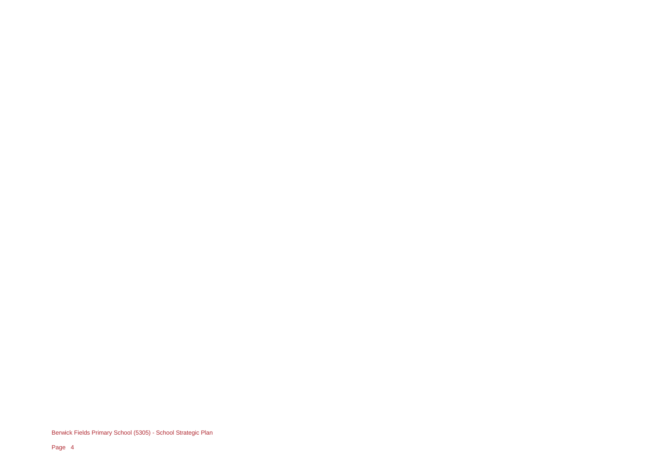Berwick Fields Primary School (5305) - School Strategic Plan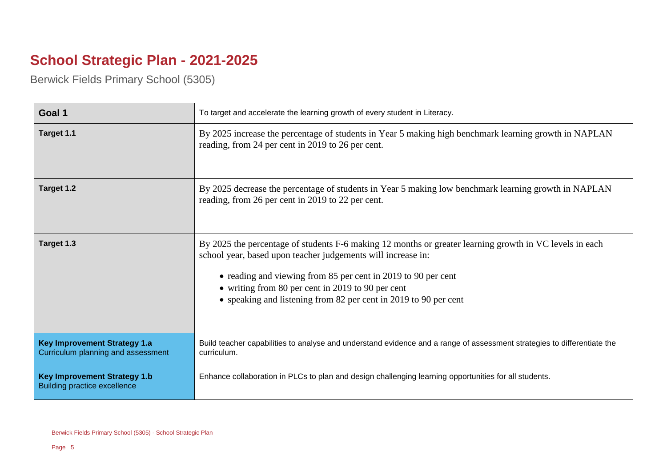## **School Strategic Plan - 2021-2025**

Berwick Fields Primary School (5305)

| Goal 1                                                                     | To target and accelerate the learning growth of every student in Literacy.                                                                                                                                                                                                                                                                                        |
|----------------------------------------------------------------------------|-------------------------------------------------------------------------------------------------------------------------------------------------------------------------------------------------------------------------------------------------------------------------------------------------------------------------------------------------------------------|
| Target 1.1                                                                 | By 2025 increase the percentage of students in Year 5 making high benchmark learning growth in NAPLAN<br>reading, from 24 per cent in 2019 to 26 per cent.                                                                                                                                                                                                        |
| Target 1.2                                                                 | By 2025 decrease the percentage of students in Year 5 making low benchmark learning growth in NAPLAN<br>reading, from 26 per cent in 2019 to 22 per cent.                                                                                                                                                                                                         |
| Target 1.3                                                                 | By 2025 the percentage of students F-6 making 12 months or greater learning growth in VC levels in each<br>school year, based upon teacher judgements will increase in:<br>• reading and viewing from 85 per cent in 2019 to 90 per cent<br>• writing from 80 per cent in 2019 to 90 per cent<br>• speaking and listening from 82 per cent in 2019 to 90 per cent |
| <b>Key Improvement Strategy 1.a</b><br>Curriculum planning and assessment  | Build teacher capabilities to analyse and understand evidence and a range of assessment strategies to differentiate the<br>curriculum.                                                                                                                                                                                                                            |
| <b>Key Improvement Strategy 1.b</b><br><b>Building practice excellence</b> | Enhance collaboration in PLCs to plan and design challenging learning opportunities for all students.                                                                                                                                                                                                                                                             |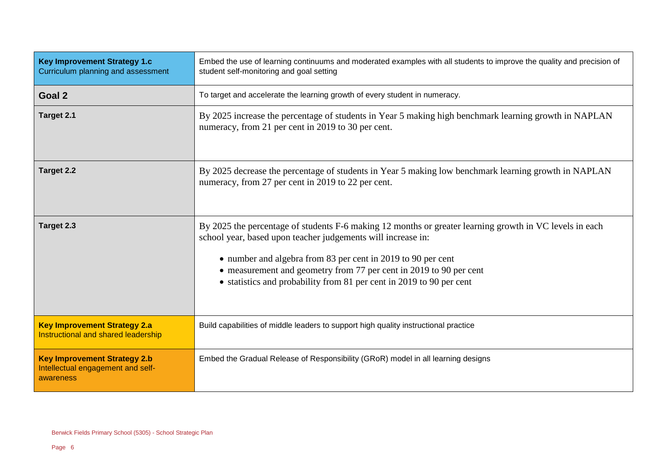| <b>Key Improvement Strategy 1.c</b><br>Curriculum planning and assessment             | Embed the use of learning continuums and moderated examples with all students to improve the quality and precision of<br>student self-monitoring and goal setting                                                                                                                                                                                                                     |
|---------------------------------------------------------------------------------------|---------------------------------------------------------------------------------------------------------------------------------------------------------------------------------------------------------------------------------------------------------------------------------------------------------------------------------------------------------------------------------------|
| Goal 2                                                                                | To target and accelerate the learning growth of every student in numeracy.                                                                                                                                                                                                                                                                                                            |
| Target 2.1                                                                            | By 2025 increase the percentage of students in Year 5 making high benchmark learning growth in NAPLAN<br>numeracy, from 21 per cent in 2019 to 30 per cent.                                                                                                                                                                                                                           |
| Target 2.2                                                                            | By 2025 decrease the percentage of students in Year 5 making low benchmark learning growth in NAPLAN<br>numeracy, from 27 per cent in 2019 to 22 per cent.                                                                                                                                                                                                                            |
| Target 2.3                                                                            | By 2025 the percentage of students F-6 making 12 months or greater learning growth in VC levels in each<br>school year, based upon teacher judgements will increase in:<br>• number and algebra from 83 per cent in 2019 to 90 per cent<br>• measurement and geometry from 77 per cent in 2019 to 90 per cent<br>• statistics and probability from 81 per cent in 2019 to 90 per cent |
| <b>Key Improvement Strategy 2.a</b><br>Instructional and shared leadership            | Build capabilities of middle leaders to support high quality instructional practice                                                                                                                                                                                                                                                                                                   |
| <b>Key Improvement Strategy 2.b</b><br>Intellectual engagement and self-<br>awareness | Embed the Gradual Release of Responsibility (GRoR) model in all learning designs                                                                                                                                                                                                                                                                                                      |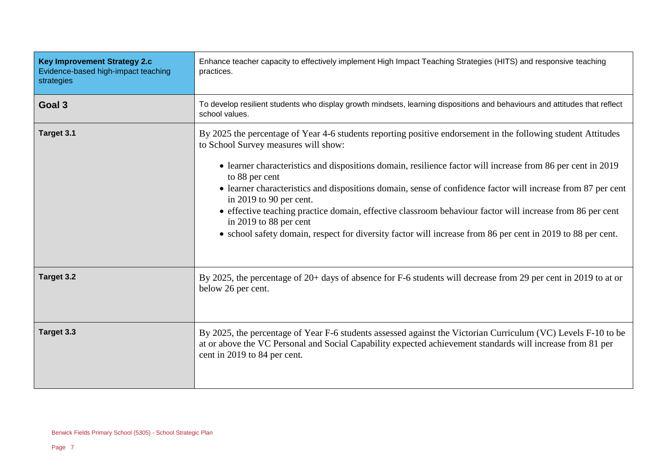| <b>Key Improvement Strategy 2.c</b><br>Evidence-based high-impact teaching<br>strategies | Enhance teacher capacity to effectively implement High Impact Teaching Strategies (HITS) and responsive teaching<br>practices.                                                                                                                                                                                                                                                                                                                                                                                                                                                                                                                                                          |
|------------------------------------------------------------------------------------------|-----------------------------------------------------------------------------------------------------------------------------------------------------------------------------------------------------------------------------------------------------------------------------------------------------------------------------------------------------------------------------------------------------------------------------------------------------------------------------------------------------------------------------------------------------------------------------------------------------------------------------------------------------------------------------------------|
| Goal 3                                                                                   | To develop resilient students who display growth mindsets, learning dispositions and behaviours and attitudes that reflect<br>school values.                                                                                                                                                                                                                                                                                                                                                                                                                                                                                                                                            |
| Target 3.1                                                                               | By 2025 the percentage of Year 4-6 students reporting positive endorsement in the following student Attitudes<br>to School Survey measures will show:<br>• learner characteristics and dispositions domain, resilience factor will increase from 86 per cent in 2019<br>to 88 per cent<br>• learner characteristics and dispositions domain, sense of confidence factor will increase from 87 per cent<br>in 2019 to 90 per cent.<br>• effective teaching practice domain, effective classroom behaviour factor will increase from 86 per cent<br>in 2019 to 88 per cent<br>• school safety domain, respect for diversity factor will increase from 86 per cent in 2019 to 88 per cent. |
| Target 3.2                                                                               | By 2025, the percentage of 20+ days of absence for F-6 students will decrease from 29 per cent in 2019 to at or<br>below 26 per cent.                                                                                                                                                                                                                                                                                                                                                                                                                                                                                                                                                   |
| Target 3.3                                                                               | By 2025, the percentage of Year F-6 students assessed against the Victorian Curriculum (VC) Levels F-10 to be<br>at or above the VC Personal and Social Capability expected achievement standards will increase from 81 per<br>cent in 2019 to 84 per cent.                                                                                                                                                                                                                                                                                                                                                                                                                             |